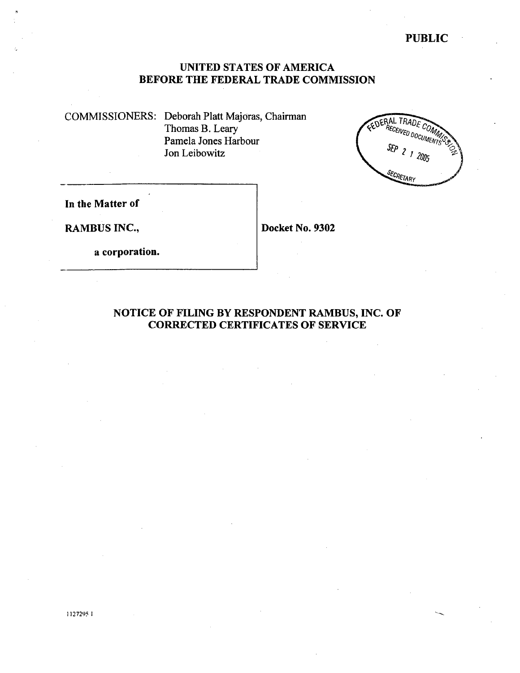COMMISSIONERS: Deborah Platt Majoras, Chairman Thomas B. Leary Pamela Jones Harbour Jon Leibowitz



In the Matter of

RAMBUS INC., Docket No. 9302

a corporation.

NOTICE OF FILING BY RESPONDENT RAMBUS, INC. OF CORRECTED CERTIFICATES OF SERVICE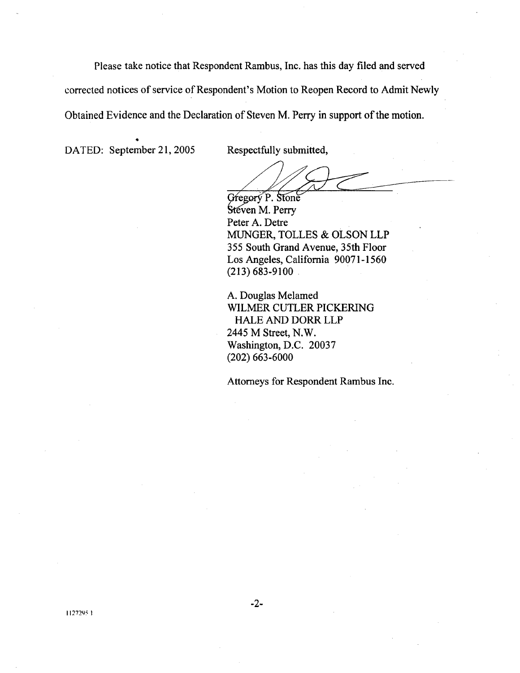Please take notice that Respondent Rambus, Inc. has this day fied and served corrected notices of service of Respondent's Motion to Reopen Record to Admit Newly Obtained Evidence and the Declaration of Steven M. Perry in support of the motion.

DATED: September 21, 2005 Respectfully submitted,

Gregory P. Stone Steven M. Perry Peter A. Detre MUGER, TOLLES & OLSON LLP 355 South Grand Avenue, 35th Floor Los Angeles, California 90071-1560 (213) 683-9100

A. Douglas Melamed WILMER CUTLER PICKERING HALE AND DORR LLP 2445 M Street, N. Washington, D.C. 20037 (202) 663-6000

Attorneys for Respondent Rambus Inc.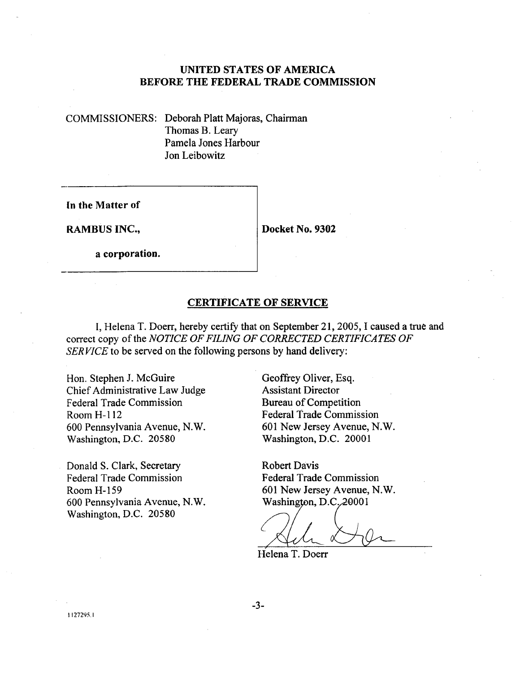COMMISSIONERS: Deborah Platt Majoras, Chairman Thomas B. Leary Pamela Jones Harbour Jon Leibowitz

In the Matter of

RAMBUS INC., Docket No. 9302

a corporation.

#### CERTIFICATE OF SERVICE

I, Helena T. Doerr, hereby certify that on September 21, 2005, I caused a true and correct copy of the NOTICE OF FILING OF CORRECTED CERTIFICATES OF SERVICE to be served on the following persons by hand delivery:

Hon. Stephen J. McGuire Chief Administrative Law Judge Federal Trade Commission Room H-112 600 Pennsylvania Avenue, N. Washington, D.C. 20580

Donald S. Clark, Secretary Federal Trade Commission Room H- 159 600 Pennsylvania Avenue, N. Washington, D.C. 20580

Geoffrey Oliver, Esq. Assistant Director Bureau of Competition Federal Trade Commission 601 New Jersey Avenue, N. Washington, D.C. 20001

Robert Davis Federal Trade Commission 601 New Jersey Avenue, N.

wasnington, D.<br> *Alle*<br>
Helena T. Doerr

 $-3-$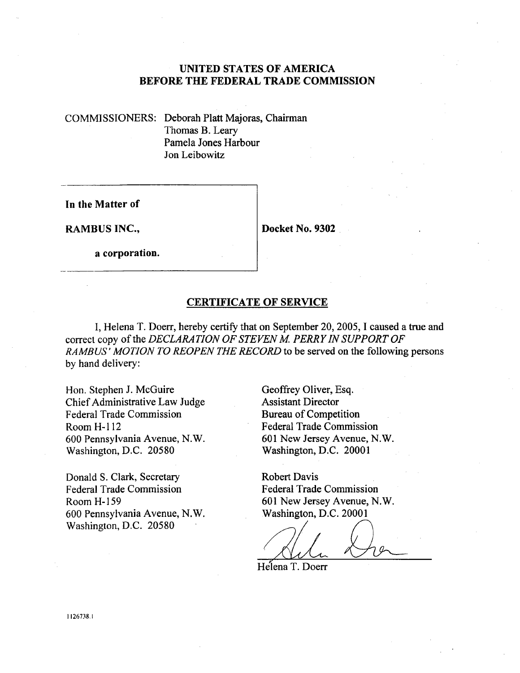COMMISSIONERS: Deborah Platt Majoras, Chairman Thomas B. Leary Pamela Jones Harbour Jon Leibowitz

In the Matter of

RAMBUS INC., Docket No. 9302

a corporation.

#### CERTIFICATE OF SERVICE

, Helena T. Doerr, hereby certify that on September 20, 2005, I caused a true and correct copy of the DECLARATION OF STEVEN M. PERRY IN SUPPORT OF RAMBUS' MOTION TO REOPEN THE RECORD to be served on the following persons by hand delivery:

Hon. Stephen J. McGuire Chief Administrative Law Judge Federal Trade Commission Room H- 112 600 Pennsylvania Avenue, N. Washington, D.C. 20580

Donald S. Clark, Secretar Federal Trade Commission Room H- 159 600 Pennsylvania Avenue, N. Washington, D.C. 20580

Geoffrey Oliver, Esq. Assistant Director Bureau of Competition Federal Trade Commission 601 New Jersey Avenue, N. Washington, D.C. 20001

Robert Davis Federal Trade Commission 601 New Jersey Avenue, N. Washington, D.C. 20001

Helena T. Doerr

1126738.